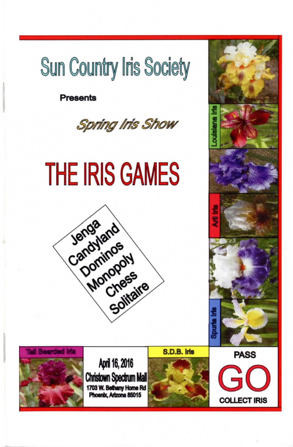# **Sun Country Iris Society**

Presents







April 16, 2016 Christown Spectrum Mall 1703 W. Bethany Home Rd Phoenix, Arizona 85015





**GO** 

**COLLECT IRIS**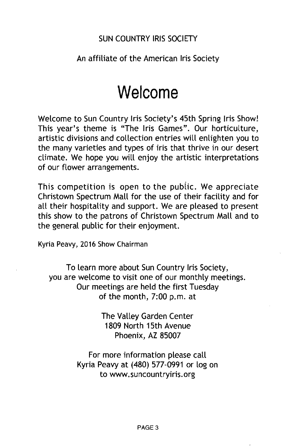#### SUN COUNTRY IRIS SOCIETY

#### An affiliate of the American Iris Society

## **Welcome**

Welcome to Sun Country Iris Society's 45th Spring Iris Show! This year's theme is "The Iris Games". Our horticulture, artistic divisions and collection entries will enlighten you to the many varieties and types of iris that thrive in our desert climate. We hope you will enjoy the artistic interpretations of our flower arrangements.

This competition is open to the public. We appreciate Christown Spectrum Mall for the use of their facility and for all their hospitality and support. We are pleased to present this show to the patrons of Christown Spectrum Mall and to the general public for their enjoyment.

Kyria Peavy, 2016 Show Chairman

To learn more about Sun Country Iris Society, you are welcome to visit one of our monthly meetings. Our meetings are held the first Tuesday of the month, 7:00 p.m. at

> The Valley Garden Center 1809 North 15th Avenue Phoenix, AZ 85007

For more information please call Kyria Peavy at (480) 577-0991 or log on to www.suncountryiris.org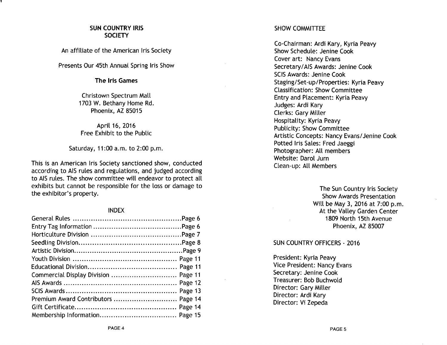#### SUN COUNTRY IRIS **SOCIETY**

An affiliate of the American Iris Society

Presents Our 45th Annual Spring Iris Show

#### The Iris Games

Christown Spectrum Mall 1703 W. Bethany Home Rd. Phoenix, AZ 85015

April 16, 2016 Free Exhibit to the Public

Saturday, 11 :00 a.m. to 2:00 p.m.

This is an American Iris Society sanctioned show, conducted according to AIS rules and regulations, and judged according to AIS rules. The show committee will endeavor to protect all exhibits but cannot be responsible for the loss or damage to the exhibitor's property.

#### INDEX

| Commercial Display Division  Page 11 |  |
|--------------------------------------|--|
|                                      |  |
|                                      |  |
|                                      |  |
|                                      |  |
|                                      |  |

#### SHOW COMMITTEE

Co-Chairman: Ardi Kary, Kyria Peavy Show Schedule: Jenine Cook Cover art: Nancy Evans Secretary/AIS Awards: Jenine Cook SCIS Awards: Jenine Cook Staging/Set-up/Properties: Kyria Peavy Classification: Show Committee Entry and Placement: Kyria Peavy Judges: Ardi Kary Clerks: Gary Miller Hospitality: Kyria Peavy Publicity: Show Committee Artistic Concepts: Nancy Evans/Jenine Cook Potted Iris Sales: Fred Jaeggi Photographer: All members Website: Darol Jurn Clean-up: All Members

> The Sun Country Iris Society Show Awards Presentation Will be May 3, 2016 at 7:00 p.m. At the Valley Garden Center 1809 North 15th Avenue Phoenix, AZ 85007

#### SUN COUNTRY OFFICERS - 2016

President: Kyria Peavy Vice President: Nancy Evans Secretary: Jenine Cook Treasurer: Bob Buchwold Director: Gary Miller Director: Ardi Kary Director: Vi Zepeda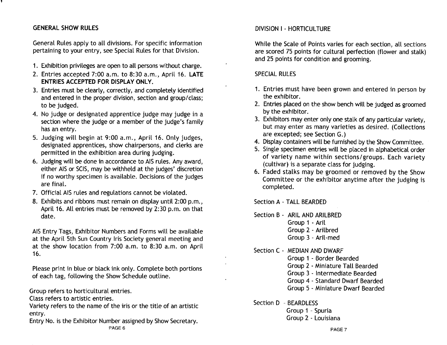### GENERAL SHOW RULES

General Rules apply to all divisions. For specific information pertaining to your entry, see Special Rules for that Division.

- 1. Exhibition privileges are open to all persons without charge.
- 2. Entries accepted 7:00 a.m. to 8:30 a.m., April 16. LATE ENTRIES ACCEPTED FOR DISPLAY ONLY.
- 3. Entries must be clearly, correctly, and completely identified and entered in the proper division, section and group/class; to be judged.
- 4. No judge or designated apprentice judge may judge in a section where the judge or a member of the judge's family has an entry.
- 5. Judging will begin at 9:00 a.m., April 16. Only judges, designated apprentices, show chairpersons, and clerks are permitted in the exhibition area during judging.
- 6. Judging will be done in accordance to AIS rules. Any award, either AIS or SClS, may be withheld at the judges' discretion if no worthy specimen is available. Decisions of the judges are final.
- 7. Official AIS rules and regulations cannot be violated.
- 8. Exhibits and ribbons must remain on display until 2:00 p.m., April 16. All entries must be removed by 2:30 p.m. on that date.

AIS Entry Tags, Exhibitor Numbers and Forms will be available at the April 5th Sun Country Iris Society general meeting and at the show location from 7:00 a.m. to 8:30 a.m. on April 16.

Please print in blue or black ink only. Complete both portions of each tag, following the Show Schedule outline.

Group refers to horticultural entries.

Class refers to artistic entries.

Variety refers to the name of the iris or the title of an artistic entry.

Entry No. is the Exhibitor Number assigned by Show Secretary. PAGE 6

#### DIVISION I - HORTICULTURE

While the Scale of Points varies for each section, all sections are scored 75 points for cultural perfection (flower and stalk) and 25 points for condition and grooming.

#### SPECIAL RULES

- 1. Entries must have been grown and entered in person by the exhibitor.
- 2. Entries placed on the show bench will be judged as groomed by the exhibitor.
- 3. Exhibitors may enter only one stalk of any particular variety, but may enter as many varieties as desired. (Collections are excepted; see Section G.)
- 4. Display containers will be furnished by the Show Committee.
- 5. Single specimen entries will be placed in alphabetical order of variety name within sections/ groups. Each variety (cultivar) is a separate class for judging.
- 6. Faded stalks may be groomed or removed by the Show Committee or the exhibitor anytime after the judging is completed.

Section A - TALL BEARDED

Section B - ARIL AND ARILBRED Group 1 - Aril Group 2 - Arilbred Group 3 - Aril-med

Section C - MEDIAN AND DWARF

Group 1 - Border Bearded

Group 2 - Miniature Tall Bearded

Group 3 - Intermediate Bearded

Group 4 - Standard Dwarf Bearded

Group 5 - Miniature Dwarf Bearded

Section D - BEARDLESS

Group 1 - Spuria Group 2 - Louisiana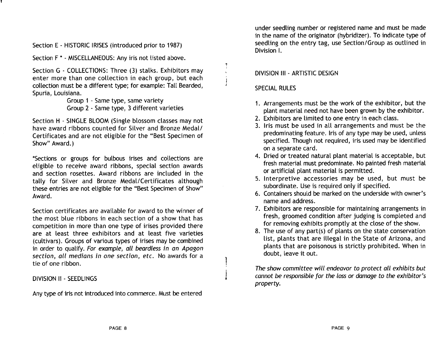Section E - HISTORIC IRISES (introduced prior to 1987)

Section F \* - MISCELLANEOUS: Any iris not listed above.

Section G - COLLECTIONS: Three (3) stalks. Exhibitors may enter more than one collection in each group, but each collection must be a different type; for example: Tall Bearded, Spuria, Louisiana.

> Group 1 - Same type, same variety Group 2 - Same type, 3 different varieties

Section H - SINGLE BLOOM (Single blossom classes may not have award ribbons counted for Silver and Bronze Medal/ Certificates and are not eligible for the "Best Specimen of Show" Award.)

\*Sections or groups for bulbous irises and collections are eligible to receive award ribbons, special section awards and section rosettes. Award ribbons are included in the tally for Silver and Bronze Medal/Certificates although these entries are not eligible for the "Best Specimen of Show" Award.

Section certificates are available for award to the winner of the most blue ribbons in each section of a show that has competition in more than one type of irises provided there are at least three exhibitors and at least five varieties (cultivars). Groups of various types of irises may be combined in order to qualify. For example, all beardless in an Apagon section, all medians in one section, etc. No awards for a tie of one ribbon.

DIVISION II - SEEDLINGS

Any type of iris not introduced into commerce. Must be entered

under seedling number or registered name and must be made in the name of the originator (hybridizer). To indicate type of seedling on the entry tag, use Section/Group as outlined in Division I.

#### DIVISION III - ARTISTIC DESIGN

#### SPECIAL RULES

- 1. Arrangements must be the work of the exhibitor, but the plant material need not have been grown by the exhibitor.
- 2. Exhibitors are limited to one entry in each class.
- 3. Iris must be used in all arrangements and must be the predominating feature. Iris of any type may be used, unless specified. Though not required, iris used may be identified on a separate card.
- 4. Dried or treated natural plant material is acceptable, but fresh material must predominate. No painted fresh material or artificial plant material is permitted.
- 5. Interpretive accessories may be used, but must be subordinate. Use is required only if specified.
- 6. Containers should be marked on the underside with owner's name and address.
- 7. Exhibitors are responsible for-maintaining arrangements in fresh, groomed condition after judging is completed and for removing exhibits promptly at the close of the show.
- 8. The use of any part(s) of plants on the state conservation list, plants that are illegal in the State of Arizona, and plants that are poisonous is strictly prohibited. When in doubt, leave it out.

The show committee will endeavor to protect all exhibits but cannot be responsible for the loss or damage to the exhibitor's property.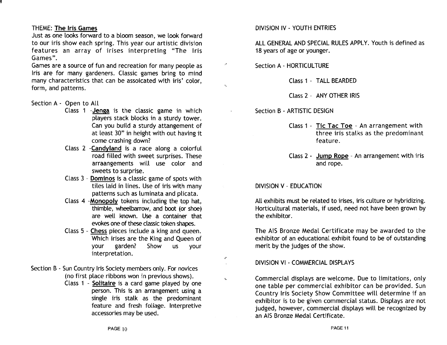#### THEME: The Iris Games

Just as one looks forward to a bloom season, we look forward to our iris show each spring. This year our artistic division features an array of irises interpreting "The Iris Games".

Games are a source of fun and recreation for many people as Iris are for many gardeners. Classic games bring to mind many characteristics that can be assoicated with iris' color, form, and patterns.

#### Section A - Open to All

- Class 1 -Jenga is the classic game in which players stack blocks in a sturdy tower. Can you build a sturdy attangement of at least 30" in height with out having it come crashing down?
- Class 2 -Candyland is a race along a colorful road filled with sweet surprises. These arraangements will use color and sweets to surprise.
- Class 3 Dominos is a classic game of spots with tiles laid in lines. Use of iris with many patterns such as luminata and plicata.
- Class 4 -Monopoly tokens including the top hat, thimble, wheelbarrow, and boot (or shoe) are well known. Use a container that evokes one of these classic token shapes.
- Class 5 Chess pieces include a king and queen. Which irises are the King and Queen of your garden? Show us your interpretation.
- Section B Sun Country Iris Society members only. For novices (no first place ribbons won in previous shows).
	- Class 1 Solitaire is a card game played by one person. This is an arrangement using a single iris stalk as the predominant feature and fresh foliage. Interpretive accessories may be used.

#### DIVISION IV - YOUTH ENTRIES

ALL GENERAL AND SPECIAL RULES APPLY. Youth is defined as 18 years of age or younger.

Section A - HORTICULTURE

 $\mathbf{K}$ 

è

 $\mathbf{A}$ 

Class 1 - TALL BEARDED

Class 2 - ANY OTHER IRIS

Section B - ARTISTIC DESIGN

Class 1 - Tic Tac Toe - An arrangement with three iris stalks as the predominant feature.

Class 2 - Jump Rope - An arrangement with iris and rope.

#### DIVISION V - EDUCATION

All exhibits must be related to irises, iris culture or hybridizing. Horticultural materials, if used, need not have been grown by the exhibitor.

The AIS Bronze Medal Certificate may be awarded to the exhibitor of an educational exhibit found to be of outstanding merit by the judges of the show.

DIVISION VI - COMMERCIAL DISPLAYS

Commercial displays are welcome. Due to limitations, only one table per commercial exhibitor can be provided. Sun Country Iris Society Show Committee will determine if an exhibitor is to be given commercial status. Displays are not judged, however, commercial displays will be recognized by an AIS Bronze Medal Certificate.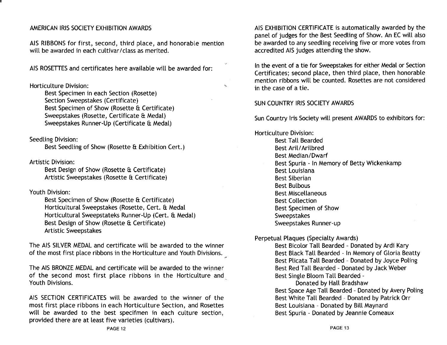#### AMERICAN IRIS SOCIETY EXHIBITION AWARDS

AIS RIBBONS for first, second, third place, and honorable mention will be awarded in each cultivar/class as merited.

AIS ROSETIES and certificates here available will be awarded for:

Horticulture Division:

Best Specimen in each Section (Rosette) Section Sweepstakes (Certificate) Best Specimen of Show (Rosette & Certificate) Sweepstakes (Rosette, Certificate & Medal) Sweepstakes Runner-Up (Certificate & Medal)

Seedling Division:

Best Seedling of Show (Rosette & Exhibition Cert.)

Artistic Division:

Best Design of Show (Rosette & Certificate) Artistic Sweepstakes (Rosette & Certificate)

Youth Division:

Best Specimen of Show (Rosette & Certificate) Horticultural Sweepstakes (Rosette, Cert. & Medal Horticultural Sweepstateks Runner-Up (Cert. & Medal) Best Design of Show (Rosette & Certificate) Artistic Sweepstakes

The AIS SILVER MEDAL and certificate will be awarded to the winner of the most first place ribbons in the Horticulture and Youth Divisions. ('

The AIS BRONZE MEDAL and certificate will be awarded to the winner of the second most first place ribbons in the Horticulture and Youth Divisions.

AIS SECTION CERTIFICATES will be awarded to the winner of the most first place ribbons in each Horticulture Section, and Rosettes will be awarded to the best specifmen in each culture section, provided there are at least five varieties (cultivars).

AIS EXHIBITION CERTIFICATE is automatically awarded by the panel of judges for the Best Seedling of Show. An EC will also be awarded to any seedling receiving five or more votes from accredited AIS judges attending the show.

In the event of a tie for Sweepstakes for either Medal or Section Certificates; second place, then third place, then honorable mention ribbons will be counted. Rosettes are not considered in the case of a tie.

#### SUN COUNTRY IRIS SOCIETY AWARDS

 $\mathbf{r}$ 

Sun Country Iris Society will present AWARDS to exhibitors for:

Horticulture Division: Best Tall Bearded Best Aril/Arilbred Best Median/Dwarf Best Spuria - In Memory of Betty Wickenkamp Best Louisiana Best Siberian Best Bulbous Best Miscellaneous Best Collection Best Specimen of Show Sweepstakes Sweepstakes Runner-up

Perpetual Plaques (Specialty Awards)

Best Bicolor Tall Bearded - Donated by Ardi Kary Best Black Tall Bearded - In Memory of Gloria Beatty Best Plicata Tall Bearded - Donated by Joyce Poling Best Red Tall Bearded - Donated by Jack Weber Best Single Bloom Tall Bearded -

Donated by Hall Bradshaw Best Space Age Tall Bearded - Donated by Avery Poling Best White Tall Bearded - Donated by Patrick Orr Best Louisiana - Donated by Bill Maynard Best Spuria - Donated by Jeannie Comeaux